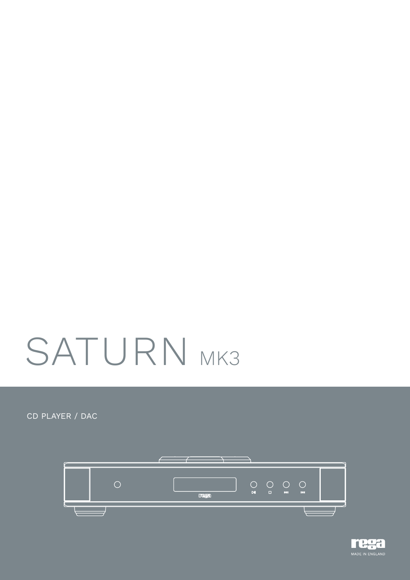# SATURN MK3

CD PLAYER / DAC



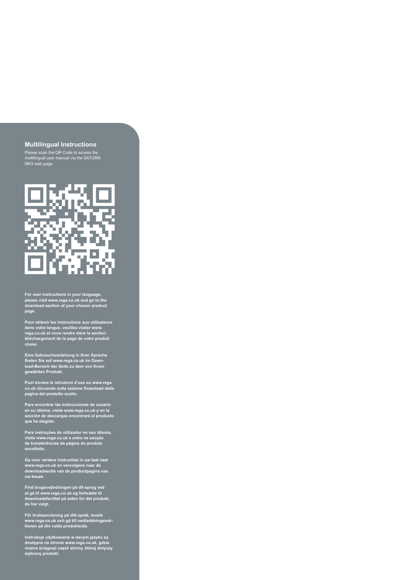## **Multilingual Instructions**

Please scan the QR Code to access the multilingual user manual via the SATURN MK3 web page.



**For user instructions in your language, please visit www.rega.co.uk and go to the download section of your chosen product page.**

**Pour obtenir les instructions aux utilisateurs dans votre langue, veuillez visiter www. rega.co.uk et vous rendre dans la section téléchargement de la page de votre produit choisi.**

**Eine Gebrauchsanleitung in Ihrer Sprache finden Sie auf www.rega.co.uk im Down-load-Bereich der Seite zu dem von Ihnen gewählten Produkt.**

**Puoi trovare le istruzioni d'uso su www.rega. co.uk cliccando sulla sezione Download della pagina del prodotto scelto.**

**Para encontrar las instrucciones de usuario en su idioma, visite www.rega.co.uk y en la sección de descargas encontrará el producto que ha elegido.**

**Para instruções do utilizador no seu idioma, visite www.rega.co.uk e entre na secção de transferências da página do produto escolhido.**

**Ga voor verdere instructies in uw taal naar www.rega.co.uk en vervolgens naar de downloadsectie van de productpagina van uw keuze.**

**Find brugsvejledningen på dit sprog ved at gå til www.rega.co.uk og fortsætte til downloadafsnittet på siden for det produkt, du har valgt.**

**För bruksanvisning på ditt språk, besök www.rega.co.uk och gå till nedladdningssek-tionen på din valda produktsida.**

**Instrukcje użytkowania w danym języku są dostępne na stronie www.rega.co.uk, gdzie można ściągnąć część strony, której dotyczy wybrany produkt.**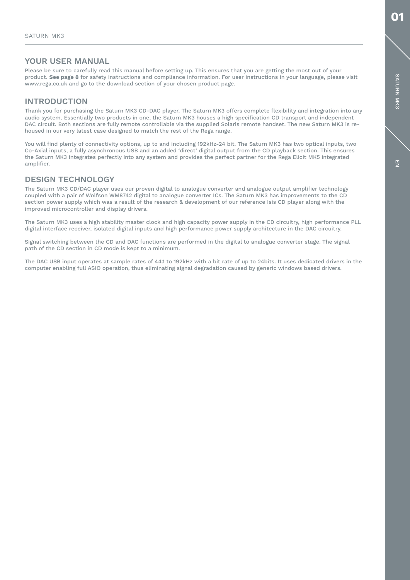# YOUR USER MANUAL

Please be sure to carefully read this manual before setting up. This ensures that you are getting the most out of your product. See page 8 for safety instructions and compliance information. For user instructions in your language, please visit www.rega.co.uk and go to the download section of your chosen product page.

# INTRODUCTION

Thank you for purchasing the Saturn MK3 CD-DAC player. The Saturn MK3 offers complete flexibility and integration into any audio system. Essentially two products in one, the Saturn MK3 houses a high specification CD transport and independent DAC circuit. Both sections are fully remote controllable via the supplied Solaris remote handset. The new Saturn MK3 is rehoused in our very latest case designed to match the rest of the Rega range.

You will find plenty of connectivity options, up to and including 192kHz-24 bit. The Saturn MK3 has two optical inputs, two Co-Axial inputs, a fully asynchronous USB and an added 'direct' digital output from the CD playback section. This ensures the Saturn MK3 integrates perfectly into any system and provides the perfect partner for the Rega Elicit MK5 integrated amplifier.

# DESIGN TECHNOLOGY

The Saturn MK3 CD/DAC player uses our proven digital to analogue converter and analogue output amplifier technology coupled with a pair of Wolfson WM8742 digital to analogue converter ICs. The Saturn MK3 has improvements to the CD section power supply which was a result of the research & development of our reference Isis CD player along with the improved microcontroller and display drivers.

The Saturn MK3 uses a high stability master clock and high capacity power supply in the CD circuitry, high performance PLL digital interface receiver, isolated digital inputs and high performance power supply architecture in the DAC circuitry.

Signal switching between the CD and DAC functions are performed in the digital to analogue converter stage. The signal path of the CD section in CD mode is kept to a minimum.

The DAC USB input operates at sample rates of 44.1 to 192kHz with a bit rate of up to 24bits. It uses dedicated drivers in the computer enabling full ASIO operation, thus eliminating signal degradation caused by generic windows based drivers.

01

厚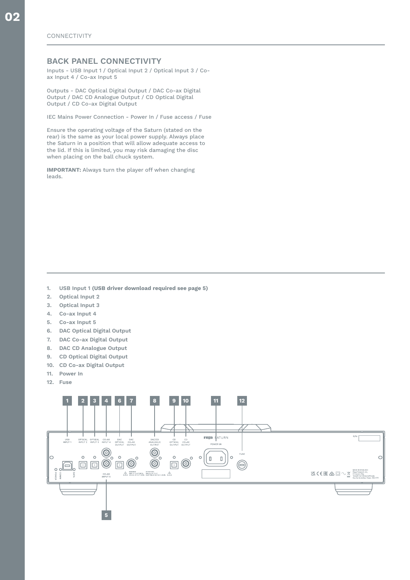# BACK PANEL CONNECTIVITY

Inputs - USB Input 1 / Optical Input 2 / Optical Input 3 / Coax Input 4 / Co-ax Input 5

Outputs - DAC Optical Digital Output / DAC Co-ax Digital Output / DAC CD Analogue Output / CD Optical Digital Output / CD Co-ax Digital Output

IEC Mains Power Connection - Power In / Fuse access / Fuse

Ensure the operating voltage of the Saturn (stated on the rear) is the same as your local power supply. Always place the Saturn in a position that will allow adequate access to the lid. If this is limited, you may risk damaging the disc when placing on the ball chuck system.

IMPORTANT: Always turn the player off when changing leads.

- 1. USB Input 1 (USB driver download required see page 5)
- 2. Optical Input 2
- 3. Optical Input 3
- 4. Co-ax Input 4
- 5. Co-ax Input 5
- 6. DAC Optical Digital Output
- 7. DAC Co-ax Digital Output
- 8. DAC CD Analogue Output
- 9. CD Optical Digital Output
- 10. CD Co-ax Digital Output
- 11. Power In
- 12. Fuse

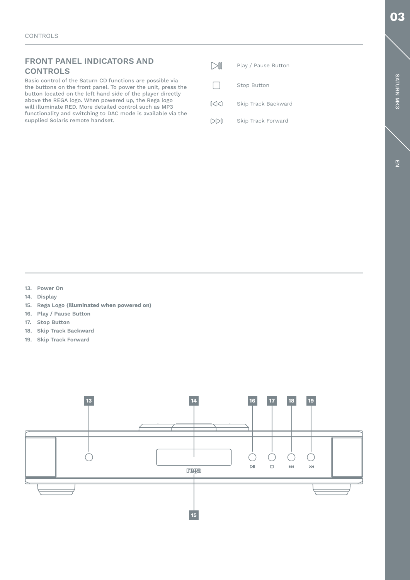SATURN MK3

Basic control of the Saturn CD functions are possible via the buttons on the front panel. To power the unit, press the button located on the left hand side of the player directly above the REGA logo. When powered up, the Rega logo will illuminate RED. More detailed control such as MP3 functionality and switching to DAC mode is available via the supplied Solaris remote handset.

| $\triangleright$ | Play / Pause Button |
|------------------|---------------------|
|                  | Stop Button         |
| $\mathbb{R}$     | Skip Track Backward |
| D                | Skip Track Forward  |

13. Power On

- 14. Display
- 15. Rega Logo (illuminated when powered on)
- 16. Play / Pause Button
- 17. Stop Button
- 18. Skip Track Backward
- 19. Skip Track Forward

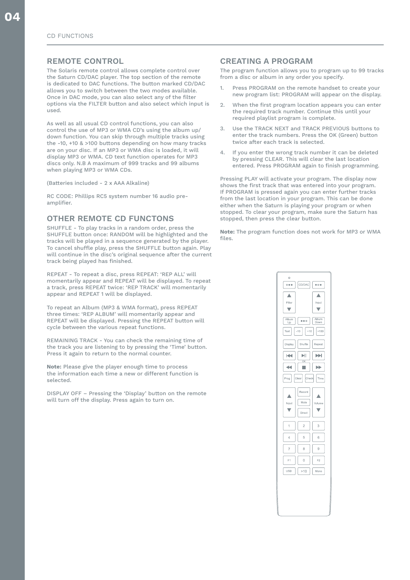# REMOTE CONTROL

The Solaris remote control allows complete control over the Saturn CD/DAC player. The top section of the remote is dedicated to DAC functions. The button marked CD/DAC allows you to switch between the two modes available. Once in DAC mode, you can also select any of the filter options via the FILTER button and also select which input is used.

As well as all usual CD control functions, you can also control the use of MP3 or WMA CD's using the album up/ down function. You can skip through multiple tracks using the -10, +10 & >100 buttons depending on how many tracks are on your disc. If an MP3 or WMA disc is loaded, it will display MP3 or WMA. CD text function operates for MP3 discs only. N.B A maximum of 999 tracks and 99 albums when playing MP3 or WMA CDs.

(Batteries included - 2 x AAA Alkaline)

RC CODE: Phillips RC5 system number 16 audio preamplifier.

# OTHER REMOTE CD FUNCTONS

SHUFFLE - To play tracks in a random order, press the SHUFFLE button once: RANDOM will be highlighted and the tracks will be played in a sequence generated by the player. To cancel shuffle play, press the SHUFFLE button again. Play will continue in the disc's original sequence after the current track being played has finished.

REPEAT - To repeat a disc, press REPEAT: 'REP ALL' will momentarily appear and REPEAT will be displayed. To repeat a track, press REPEAT twice: 'REP TRACK' will momentarily appear and REPEAT 1 will be displayed.

To repeat an Album (MP3 & WMA format), press REPEAT three times: 'REP ALBUM' will momentarily appear and REPEAT will be displayed. Pressing the REPEAT button will cycle between the various repeat functions.

REMAINING TRACK - You can check the remaining time of the track you are listening to by pressing the 'Time' button. Press it again to return to the normal counter.

Note: Please give the player enough time to process the information each time a new or different function is selected.

DISPLAY OFF – Pressing the 'Display' button on the remote will turn off the display. Press again to turn on.

# CREATING A PROGRAM

The program function allows you to program up to 99 tracks from a disc or album in any order you specify.

- 1. Press PROGRAM on the remote handset to create your new program list: PROGRAM will appear on the display.
- 2. When the first program location appears you can enter the required track number. Continue this until your required playlist program is complete.
- 3. Use the TRACK NEXT and TRACK PREVIOUS buttons to enter the track numbers. Press the OK (Green) button twice after each track is selected.
- If you enter the wrong track number it can be deleted by pressing CLEAR. This will clear the last location entered. Press PROGRAM again to finish programming.

Pressing PLAY will activate your program. The display now shows the first track that was entered into your program. If PROGRAM is pressed again you can enter further tracks from the last location in your program. This can be done either when the Saturn is playing your program or when stopped. To clear your program, make sure the Saturn has stopped, then press the clear button.

Note: The program function does not work for MP3 or WMA files.

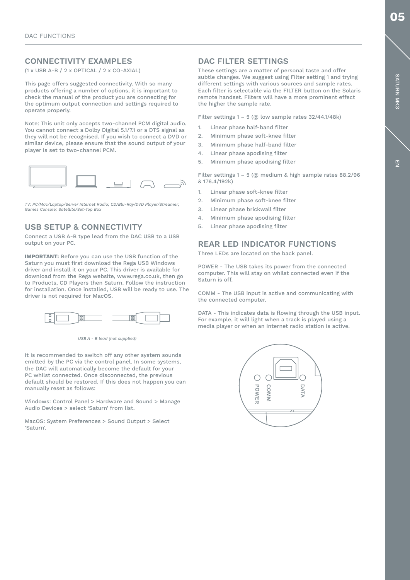# CONNECTIVITY EXAMPLES

(1 x USB A-B / 2 x OPTICAL / 2 x CO-AXIAL)

This page offers suggested connectivity. With so many products offering a number of options, it is important to check the manual of the product you are connecting for the optimum output connection and settings required to operate properly.

Note: This unit only accepts two-channel PCM digital audio. You cannot connect a Dolby Digital 5.1/7.1 or a DTS signal as they will not be recognised. If you wish to connect a DVD or similar device, please ensure that the sound output of your player is set to two-channel PCM.



*TV; PC/Mac/Laptop/Server Internet Radio; CD/Blu-Ray/DVD Player/Streamer; Games Console; Satellite/Set-Top Box*

# USB SETUP & CONNECTIVITY

Connect a USB A-B type lead from the DAC USB to a USB output on your PC.

IMPORTANT: Before you can use the USB function of the Saturn you must first download the Rega USB Windows driver and install it on your PC. This driver is available for download from the Rega website, www.rega.co.uk, then go to Products, CD Players then Saturn. Follow the instruction for installation. Once installed, USB will be ready to use. The driver is not required for MacOS.



*USB A - B lead (not supplied)*

It is recommended to switch off any other system sounds emitted by the PC via the control panel. In some systems, the DAC will automatically become the default for your PC whilst connected. Once disconnected, the previous default should be restored. If this does not happen you can manually reset as follows:

Windows: Control Panel > Hardware and Sound > Manage Audio Devices > select 'Saturn' from list.

MacOS: System Preferences > Sound Output > Select 'Saturn'.

# DAC FILTER SETTINGS

These settings are a matter of personal taste and offer subtle changes. We suggest using Filter setting 1 and trying different settings with various sources and sample rates. Each filter is selectable via the FILTER button on the Solaris remote handset. Filters will have a more prominent effect the higher the sample rate.

Filter settings  $1 - 5$  (@ low sample rates 32/44.1/48k)

- 1. Linear phase half-band filter
- 2. Minimum phase soft-knee filter
- 3. Minimum phase half-band filter
- 4. Linear phase apodising filter
- 5. Minimum phase apodising filter

Filter settings 1 – 5 (@ medium & high sample rates 88.2/96 & 176.4/192k)

- 1. Linear phase soft-knee filter
- 2. Minimum phase soft-knee filter
- 3. Linear phase brickwall filter
- 4. Minimum phase apodising filter
- 5. Linear phase apodising filter

# REAR LED INDICATOR FUNCTIONS

Three LEDs are located on the back panel.

POWER - The USB takes its power from the connected computer. This will stay on whilst connected even if the Saturn is off.

COMM - The USB input is active and communicating with the connected computer.

DATA - This indicates data is flowing through the USB input. For example, it will light when a track is played using a media player or when an Internet radio station is active.



05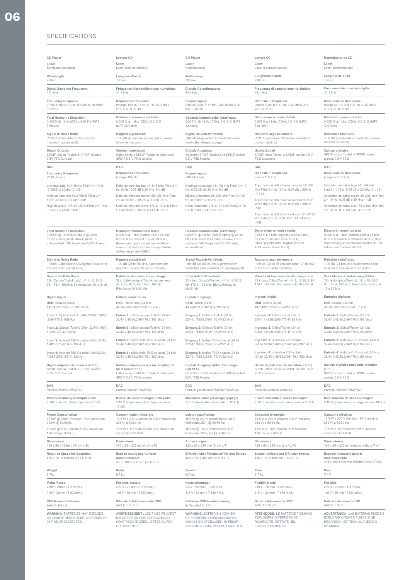# SPECIFICATIONS

| <b>CD Player</b>                                                                                                                                          | <b>Lecteur CD</b>                                                                                                                                                                                                                   | CD-Player                                                                                                                                                                   | <b>Lettore CD</b>                                                                                                                                                               | Reproductor de CD                                                                                                                                                                            |
|-----------------------------------------------------------------------------------------------------------------------------------------------------------|-------------------------------------------------------------------------------------------------------------------------------------------------------------------------------------------------------------------------------------|-----------------------------------------------------------------------------------------------------------------------------------------------------------------------------|---------------------------------------------------------------------------------------------------------------------------------------------------------------------------------|----------------------------------------------------------------------------------------------------------------------------------------------------------------------------------------------|
| Laser                                                                                                                                                     | Laser                                                                                                                                                                                                                               | Laser                                                                                                                                                                       | Laser                                                                                                                                                                           | Láser                                                                                                                                                                                        |
| Semiconductor laser                                                                                                                                       | Laser semi-conducteur                                                                                                                                                                                                               | Halbleiterlaser                                                                                                                                                             | Laser a semiconduttore                                                                                                                                                          | Láser semiconductor                                                                                                                                                                          |
| Wavelength                                                                                                                                                | Longueur d'onde                                                                                                                                                                                                                     | Wellenlänge                                                                                                                                                                 | Lunghezza d'onda                                                                                                                                                                | Longitud de onda                                                                                                                                                                             |
| 790nm                                                                                                                                                     | 790 nm                                                                                                                                                                                                                              | 790 nm                                                                                                                                                                      | 790 nm                                                                                                                                                                          | 790 nm                                                                                                                                                                                       |
| <b>Digital Sampling Frequency</b>                                                                                                                         | Fréquence d'échantillonnage numérique                                                                                                                                                                                               | Digitale Abtastfrequenz                                                                                                                                                     | Frequenza di campionamento digitale                                                                                                                                             | Frecuencia de muestreo digital                                                                                                                                                               |
| 44.1kHz                                                                                                                                                   | 44,1 kHz                                                                                                                                                                                                                            | 44,1 kHz                                                                                                                                                                    | 44.1 kHz                                                                                                                                                                        | 44,1 kHz                                                                                                                                                                                     |
| <b>Frequency Response</b>                                                                                                                                 | Réponse en fréquence                                                                                                                                                                                                                | Frequenzgang                                                                                                                                                                | Risposta in frequenza                                                                                                                                                           | Respuesta de frecuencia                                                                                                                                                                      |
| $(100k\Omega \text{ load}) = 17Hz - 0.02dB$ to 20.5kHz                                                                                                    | (charge 100 kΩ) = de 17 Hz -0,02 dB à                                                                                                                                                                                               | $(100 \text{ k}\Omega \text{ Last}) = 17 \text{ Hz} -0.02 \text{ dB}$ bis 20.5                                                                                              | (carico $100k\Omega$ ) = 17 Hz -0,02 dB a 20,5                                                                                                                                  | (carga de 100 k $\Omega$ ) = 17 Hz -0,02 dB a                                                                                                                                                |
| $-0.02dB$                                                                                                                                                 | 20,5 kHz -0,02 dB                                                                                                                                                                                                                   | kHz -0,02 dB                                                                                                                                                                | kHz -0,02 dB                                                                                                                                                                    | 20,5 kHz -0,02 dB                                                                                                                                                                            |
| <b>Total Harmonic Distortion</b>                                                                                                                          | Distorsion harmonique totale                                                                                                                                                                                                        | Gesamte harmonische Verzerrung                                                                                                                                              | Distorsione armonica totale                                                                                                                                                     | Distorsión armónica total                                                                                                                                                                    |
| 0.005% @ 1kHz (CDA), 0.012% (MP3                                                                                                                          | 0,005 % à 1 kHz (CDA), 0,012 %                                                                                                                                                                                                      | 0,005 % @ 1 kHz (CDA), 0,012 % (MP3                                                                                                                                         | 0,005% a 1 kHz (CDA), 0,012% (MP3                                                                                                                                               | 0,005 % a 1 kHz (CDA), 0,012 % (MP3                                                                                                                                                          |
| 320kb/s)                                                                                                                                                  | (MP3 320 kb/s)                                                                                                                                                                                                                      | 320 kb/s)                                                                                                                                                                   | 320 kb/s)                                                                                                                                                                       | 320 kb/s)                                                                                                                                                                                    |
| <b>Signal to Noise Ratio</b>                                                                                                                              | Rapport signal-bruit                                                                                                                                                                                                                | Signal-Rausch-Verhältnis                                                                                                                                                    | Rapporto segnale-rumore                                                                                                                                                         | Relación señal/ruido                                                                                                                                                                         |
| -109dB (A Weighted Relative to the                                                                                                                        | -109 dB (A pondéré par rapport au niveau                                                                                                                                                                                            | -109 dB (A-gewichtet im Verhältnis zum                                                                                                                                      | -109 dB (ponderati "A" relativi al livello di                                                                                                                                   | -109 dB (ponderado con relación al nivel                                                                                                                                                     |
| maximum output level)                                                                                                                                     | de sortie maximal)                                                                                                                                                                                                                  | maximalen Ausgangspegel)                                                                                                                                                    | uscita massimo)                                                                                                                                                                 | máximo de salida)                                                                                                                                                                            |
| <b>Digital Outputs</b>                                                                                                                                    | Sorties numériques                                                                                                                                                                                                                  | Digitale Ausgänge                                                                                                                                                           | Uscite digitali                                                                                                                                                                 | Salidas digitales                                                                                                                                                                            |
| SPDIF Optical Toslink & SPDIF Isolated                                                                                                                    | Câble optique SPDIF Toslink et câble isolé                                                                                                                                                                                          | Optischer SPDIF-Toslink und SPDIF-isoliert                                                                                                                                  | SPDIF ottico Toslink e SPDIF isolato 0,5 V                                                                                                                                      | SPDIF óptico Toslink y SPDIF coaxial                                                                                                                                                         |
| $0.5$ V 75 $\Omega$ Co-axial                                                                                                                              | SPDIF $0.5$ V 75 $\Omega$ co-axial                                                                                                                                                                                                  | $0.5$ V 75 $\Omega$ Koaxial                                                                                                                                                 | 75 $\Omega$ coassiale                                                                                                                                                           | aislado 0,5 V 75 $\Omega$                                                                                                                                                                    |
| DAC                                                                                                                                                       | DAC                                                                                                                                                                                                                                 | DAC                                                                                                                                                                         | DAC                                                                                                                                                                             | DAC                                                                                                                                                                                          |
| <b>Frequency Response</b>                                                                                                                                 | Réponse en fréquence                                                                                                                                                                                                                | Frequenzgang                                                                                                                                                                | Risposta in frequenza                                                                                                                                                           | Respuesta de frecuencia                                                                                                                                                                      |
| $(100k\Omega$ load)                                                                                                                                       | (charge 100 $k\Omega$ )                                                                                                                                                                                                             | $(100 k\Omega$ Last)                                                                                                                                                        | (carico 100 k $\Omega$ )                                                                                                                                                        | (carga de 100 k $\Omega$ )                                                                                                                                                                   |
| Low data rate 44.1/48kHz Filter 2 = 10Hz<br>-0.05dB to 20kHz -0.1dB                                                                                       | Débit de données bas 44,1/48 kHz Filtre 2 =<br>de 10 Hz -0,05 dB à 20 kHz -0,1 dB                                                                                                                                                   | Niedrige Abtastrate 44,1/48 kHz Filter 2 = 10<br>Hz -0,05 dB bis 20 kHz -0,1 dB                                                                                             | Trasmissione dati a bassa velocità 44,1/48<br>kHz Filtro 2 = da 10 Hz -0,05 dB a 20kHz<br>$-0.1$ dB                                                                             | Velocidad de datos baja 44,1/48 kHz<br>filtro 2 = 10 Hz -0,05 dB a 20 kHz -0,1 dB                                                                                                            |
| Medium data rate 88.2/96kHz Filter 2 =                                                                                                                    | Débit de données moyen 88,2/96 kHz Filtre                                                                                                                                                                                           | Mittlere Abtastrate 88,2/96 kHz Filter 2 = 10                                                                                                                               | Trasmissione dati a media velocità 88,2/96                                                                                                                                      | Velocidad de datos media 88,2/96 kHz filtro                                                                                                                                                  |
| 10Hz -0.05dB to 30kHz -1dB                                                                                                                                | 2 = de 10 Hz -0,05 dB à 30 kHz -1 dB                                                                                                                                                                                                | Hz -0,05dB bis 30 kHz -1dB                                                                                                                                                  |                                                                                                                                                                                 | 2 = 10 Hz -0,05 dB a 30 kHz -1 dB                                                                                                                                                            |
| High data rate 176.4/192kHz Filter 2 = 10Hz<br>$-0.05$ dB to $41$ kHz $-1$ dB                                                                             | Débit de données élevé 176,4/192 kHz Filtre<br>2 = de 10 Hz -0,05 dB à 41 kHz -1 dB                                                                                                                                                 | Hohe Abtastrate $176,4/192$ kHz Filter $2 = 10$<br>Hz -0.05dB bis 41 kHz -1dB                                                                                               | kHz Filtro 2 = da 10 Hz -0,05 dB a 30kHz<br>$-1dB$<br>Trasmissione dati ad alta velocità 176,4/192<br>kHz Filtro 2 = da 10Hz -0,05 dB a 41kHz<br>$-1dB$                         | Velocidad de datos alta 176,4/192 kHz filtro<br>2 = 10 Hz -0,05 dB a 41 kHz -1 dB                                                                                                            |
| <b>Total Harmonic Distortion</b><br>0.006% @ 1kHz (USB input @ 24bit<br>88.2kHz using ASIO driver) (Note: To<br>achieve best THD levels use ASIO drivers) | Distorsion harmonique totale<br>0,006 % à 1 kHz (entrée USB à 24 bits<br>88,2 kHz en utilisant le pilote ASIO)<br>(Remarque : pour obtenir les meilleurs<br>niveaux de distorsion harmonique totale,<br>utilisez les pilotes ASIO.) | Gesamte harmonische Verzerrung<br>0,006 % @ 1 kHz (USB-Eingang @ 24 bit<br>88,2 kHz mit ASIO-Treiber) (Hinweis: Für<br>optimale THD-Pegel sind ASIO-Treiber<br>einzusetzen) | Distorsione armonica totale<br>0,006% a 1 kHz (ingresso USB a 24bit<br>88,2 kHz usando il driver ASIO)<br>(Nota: per ottenere i migliori livelli di<br>THD usare i driver ASIO) | Distorsión armónica total<br>0,006 % a 1 kHz (entrada USB a 24 bits<br>88,2 kHz usando controlador ASIO) (Nota:<br>Para conseguir los mejores niveles de THD,<br>utilice controladores ASIO) |
| <b>Signal to Noise Ratio</b>                                                                                                                              | Rapport signal-bruit                                                                                                                                                                                                                | Signal-Rausch-Verhältnis                                                                                                                                                    | Rapporto segnale-rumore                                                                                                                                                         | Relación señal/ruido                                                                                                                                                                         |
| -109dB (24bit 96kHz A Weighted Relative to                                                                                                                | -109 dB (24 bit 96 kHz, A pondéré par                                                                                                                                                                                               | -109 dB (24 bit 96 kHz A-gewichtet im                                                                                                                                       | -109 dB (24 bit 96 kHz ponderati "A" relativi                                                                                                                                   | -109 dB (24 bits 96 kHz ponderado con                                                                                                                                                        |
| the maximum output level)                                                                                                                                 | rapport au niveau de sortie maximal)                                                                                                                                                                                                | Verhältnis zum maximaler Ausgangspegel)                                                                                                                                     | al livello di uscita massimo)                                                                                                                                                   | relación al nivel máximo de salida)                                                                                                                                                          |
| <b>Supported Data Rates</b><br>32k (Optical/Toslink only), 44.1, 48, 88.2,<br>96, 176.4, 192kHz. Bit resolution 16 to 24bit                               | Débits de données pris en charge<br>32 k (câble optique/Toslink uniquement),<br>44,1, 48, 88,2, 96, 176,4, 192 kHz<br>Résolution 16 à 24 bits                                                                                       | Unterstützte Abtastraten<br>32 k (nur Optisch/Toslink), 44,1; 48; 88,2;<br>96; 176,4; 192 kHz. Bit-Auflösung 16<br>bis 24 bit                                               | Velocità di trasmissione dati supportate<br>32 k (solo Ottico/Toslink), 44,1, 48, 88,2, 96,<br>176,4, 192 kHz. Risoluzione da 16 a 24 bit                                       | Velocidades de datos compatibles<br>32k (solo óptica/Toslink), 44,1, 48, 88,2,<br>96, 176,4, 192 kHz. Resolución de bits de<br>16 a 24 bits                                                  |
|                                                                                                                                                           |                                                                                                                                                                                                                                     |                                                                                                                                                                             |                                                                                                                                                                                 |                                                                                                                                                                                              |
| <b>Digital Inputs</b>                                                                                                                                     | Entrées numériques                                                                                                                                                                                                                  | Digitale Eingänge                                                                                                                                                           | Ingressi digitali                                                                                                                                                               | Entradas digitales                                                                                                                                                                           |
| USB: Isolated (24bit                                                                                                                                      | USB : câble isolé (24 bits                                                                                                                                                                                                          | USB: Isoliert (24 bit                                                                                                                                                       | USB: isolato (24 bit                                                                                                                                                            | USB: Aislado (24 bits                                                                                                                                                                        |
| 44.1/48/88.2/96/176.4/192kHz)                                                                                                                             | 44, 1/48/88, 2/96/176, 4/192 kHz)                                                                                                                                                                                                   | 44, 1/48/88, 2/96/176, 4/192 kHz)                                                                                                                                           | 44, 1/48/88, 2/96/176, 4/192 kHz)                                                                                                                                               | 44,1/48/88,2/96/176,4/192 kHz)                                                                                                                                                               |
| Input 1: Optical/Toslink (24bit 32/44.1/48/88                                                                                                             | Entrée 1 : câble optique/Toslink (24 bits                                                                                                                                                                                           | Eingang 1: Optisch/Toslink (24 bit                                                                                                                                          | Ingresso 1: Ottico/Toslink (24 bit                                                                                                                                              | Entrada 1: Óptica/Toslink (24 bits                                                                                                                                                           |
| .2/96/176.4/192kHz)                                                                                                                                       | 32/44,1/48/88,2/96/176,4/192 kHz)                                                                                                                                                                                                   | 32/44,1/48/88,2/96/176,4/192 kHz)                                                                                                                                           | 32/44,1/48/88,2/96/176,4/192 kHz)                                                                                                                                               | 32/44,1/48/88,2/96/176,4/192 kHz)                                                                                                                                                            |
| Input 2: Optical /Toslink (24bit 32/44.1/48/8                                                                                                             | Entrée 2 : câble optique/Toslink (24 bits                                                                                                                                                                                           | Eingang 2: Optisch/Toslink (24 bit                                                                                                                                          | Ingresso 2: Ottico/Toslink (24 bit                                                                                                                                              | Entrada 2: Optica/Toslink (24 bits                                                                                                                                                           |
| 8.2/96/176.4/192kHz)                                                                                                                                      | 32/44,1/48/88,2/96/176,4/192 kHz)                                                                                                                                                                                                   | 32/44,1/48/88,2/96/176,4/192 kHz)                                                                                                                                           | 32/44,1/48/88,2/96/176,4/192 kHz)                                                                                                                                               | 32/44,1/48/88,2/96/176,4/192 kHz)                                                                                                                                                            |
| Input 3: Isolated $75\Omega$ Co-axial (24bit 32/44.                                                                                                       | Entrée 3 : câble isolé 75 $\Omega$ co-axial (24 bits                                                                                                                                                                                | Eingang 3: Isoliert 75 $\Omega$ Koaxial (24 bit                                                                                                                             | Ingresso 3: coassiale $75\Omega$ isolato                                                                                                                                        | Entrada 3: Aislada 75 $\Omega$ coaxial (24 bits                                                                                                                                              |
| 1/48/88.2/96/176.4/192kHz)                                                                                                                                | 32/44, 1/48/88, 2/96/176, 4/192 kHz)                                                                                                                                                                                                | 32/44,1/48/88,2/96/176,4/192 kHz)                                                                                                                                           | (24 bit 32/44, 1/48/88, 2/96/176, 4/192 kHz)                                                                                                                                    | 32/44, 1/48/88, 2/96/176, 4/192 kHz)                                                                                                                                                         |
| Input 4: Isolated 75Ω Co-axial (24bit32/44.1                                                                                                              | Entrée 4 : câble isolé 75 $\Omega$ co-axial (24 bits                                                                                                                                                                                | Eingang 4: Isoliert 75 $\Omega$ Koaxial (24 bit                                                                                                                             | Ingresso 4: coassiale $75\Omega$ isolato                                                                                                                                        | Entrada 4: Aislada 75 $\Omega$ coaxial (24 bits                                                                                                                                              |
| /48/88.2/96/176.4/192kHz)                                                                                                                                 | 32/44,1/48/88,2/96/176,4/192 kHz)                                                                                                                                                                                                   | 32/44,1/48/88,2/96/176,4/192 kHz)                                                                                                                                           | (24 bit 32/44, 1/48/88, 2/96/176, 4/192 kHz)                                                                                                                                    | 32/44 1/48/88 2/96/176 4/192 kHz)                                                                                                                                                            |
| Digital outputs (via receiver & PLL)<br>SPDIF Optical Toslink & SPDIF Isolated<br>$0.5$ V 75 $\Omega$ Co-axial                                            | Sorties numériques (via un récepteur et<br>un dispositif PLL)<br>Câble optique SPDIF Toslink et câble isolé<br>SPDIF 0,5 V 75 $\Omega$ co-axial                                                                                     | Digitale Ausgänge (über Empfänger<br>und PLL)<br>Optischer SPDIF-Toslink und SPDIF-isoliert<br>$0.5$ V 75 $\Omega$ Koaxial                                                  | Uscite digitali (tramite ricevitore e PLL)<br>SPDIF ottico Toslink e SPDIF isolato 0,5 V<br>75 $\Omega$ coassiale                                                               | Salidas digitales (mediante receptor<br>y PLL)<br>SPDIF óptico Toslink y SPDIF coaxial<br>aislado $0.5$ V 75 $\Omega$                                                                        |
| <b>DAC</b>                                                                                                                                                | DAC                                                                                                                                                                                                                                 | DAC                                                                                                                                                                         | DAC                                                                                                                                                                             | DAC                                                                                                                                                                                          |
| Parallel Wolfson WM8742                                                                                                                                   | Parallel Wolfson WM8742                                                                                                                                                                                                             | Parallel geschalteter Wolfson WM8742                                                                                                                                        | Parallelo Wolfson WM8742                                                                                                                                                        | Paralelo Wolfson WM8742                                                                                                                                                                      |
| Maximum Analogue Output Level<br>2.18V (minimum load impedance 10kΩ)                                                                                      | Niveau de sortie analogique maximal<br>2,18 V (impédance de charge minimale<br>10 $k\Omega$ )                                                                                                                                       | Maximaler analoger Ausgangspegel<br>2,18 V (minimale Lastimpedanz 10 kΩ)                                                                                                    | Livello massimo di uscita analogica<br>2,18 V (impedenza di carico minima 10 kΩ)                                                                                                | Nivel máximo de salida analógica<br>2,18 V (impedancia de carga mínima 10 kΩ)                                                                                                                |
| <b>Power Consumption</b>                                                                                                                                  | Consommation d'énergie                                                                                                                                                                                                              | Leistungsaufnahme                                                                                                                                                           | Consumo di energia                                                                                                                                                              | Consumo eléctrico                                                                                                                                                                            |
| 15.5W @ 230V (minimum 190V maximum                                                                                                                        | 15,5 W à 230 V (minimum 190 V, maximum                                                                                                                                                                                              | 15,5 W @ 230 V (mindestens 190 V                                                                                                                                            | 15,5 W a 230 V (minimo 190 V massimo                                                                                                                                            | 15,5 W a 230 V (mínimo 190 V máximo                                                                                                                                                          |
| 253V) @ 50/60Hz                                                                                                                                           | 253 V) à 50/60 Hz                                                                                                                                                                                                                   | höchstens 253 ) @ 50/60 Hz                                                                                                                                                  | 253 V) a 50/60 Hz                                                                                                                                                               | 253 V) a 50/60 Hz                                                                                                                                                                            |
| 15.5W @ 115V (minimum 95V maximum                                                                                                                         | 15,5 W à 115 V (minimum 95 V, maximum                                                                                                                                                                                               | 15,5 W @ 115 V (mindestens 95 V                                                                                                                                             | 15,5 W a 115V (minimo 95 V massimo                                                                                                                                              | 15,5 W a 115 V (mínimo 95 V máximo                                                                                                                                                           |
| 126.5V) @ 50/60Hz                                                                                                                                         | 126,5 V) à 50/60 Hz                                                                                                                                                                                                                 | höchstens 126,5 V ) @ 50/60 Hz                                                                                                                                              | 126,5 V) a 50/60 Hz                                                                                                                                                             | 126,5 V) a 50/60 Hz                                                                                                                                                                          |
| Dimensions                                                                                                                                                | Dimensions                                                                                                                                                                                                                          | Abmessungen                                                                                                                                                                 | Dimensioni                                                                                                                                                                      | <b>Dimensiones</b>                                                                                                                                                                           |
| 430 x 95 x 325mm (W x H x D)                                                                                                                              | 430 x 95 x 325 mm (1 x H x P)                                                                                                                                                                                                       | 430 x 95 x 325 mm (B x H x T)                                                                                                                                               | 430 x 95 x 325 mm (L x A x P)                                                                                                                                                   | 430 x 95 x 325 mm (Ancho x Alto x Prof.)                                                                                                                                                     |
| Required Space for Operation<br>435 x 180 x 400mm (W x H x D)                                                                                             | Espace requis pour un bon<br>fonctionnement<br>435 x 180 x 400 mm (I x H x P)                                                                                                                                                       | Erforderlicher Platzbedarf für den Betrieb<br>435 x 180 x 400 mm (B x H x T)                                                                                                | Spazio richiesto per il funzionamento<br>435 x 180 x 400 mm (L x A x P)                                                                                                         | Espacio necesario para el<br>funcionamiento<br>435 x 180 x 400 mm (Ancho x Alto x Prof.)                                                                                                     |
| Weight                                                                                                                                                    | Poids                                                                                                                                                                                                                               | Gewicht                                                                                                                                                                     | Peso                                                                                                                                                                            | Peso                                                                                                                                                                                         |
| 9.7kg                                                                                                                                                     | 9,7 kg                                                                                                                                                                                                                              | 9,7 kg                                                                                                                                                                      | 9,7 kg                                                                                                                                                                          | 9,7 kg                                                                                                                                                                                       |
| <b>Mains Fuses</b>                                                                                                                                        | <b>Fusibles secteur</b>                                                                                                                                                                                                             | Netzsicherungen                                                                                                                                                             | Fusibili di rete                                                                                                                                                                | <b>Fusibles</b>                                                                                                                                                                              |
| 230V / 20mm / T 315mA L                                                                                                                                   | 230 V / 20 mm / T 315 mA L                                                                                                                                                                                                          | 230V / 20 mm / T 315 mA L                                                                                                                                                   | 230 V / 20 mm / T 315 mA L                                                                                                                                                      | 230 V / 20 mm / T 315 mA L                                                                                                                                                                   |
| 115V / 20mm / T 630mA L                                                                                                                                   | 115 V / 20 mm / T 630 mA L                                                                                                                                                                                                          | 115 V / 20 mm / T 630 mA L                                                                                                                                                  | 115 V / 20 mm / T 630 mA L                                                                                                                                                      | 115 V / 20 mm / T 630 mA L                                                                                                                                                                   |
| <b>CDP Remote Batteries</b>                                                                                                                               | Piles de la télécommande CDP                                                                                                                                                                                                        | Batterien CDP-Fernbedienung                                                                                                                                                 | Batterie telecomando CPD                                                                                                                                                        | Baterías del mando CDP                                                                                                                                                                       |
| AAA (1.5V) x 2                                                                                                                                            | AAA (1,5 V) x 2                                                                                                                                                                                                                     | 2x Typ AAA (1,5 V)                                                                                                                                                          | AAA (1,5 V) x 2                                                                                                                                                                 | AAA (1,5 V) x 2                                                                                                                                                                              |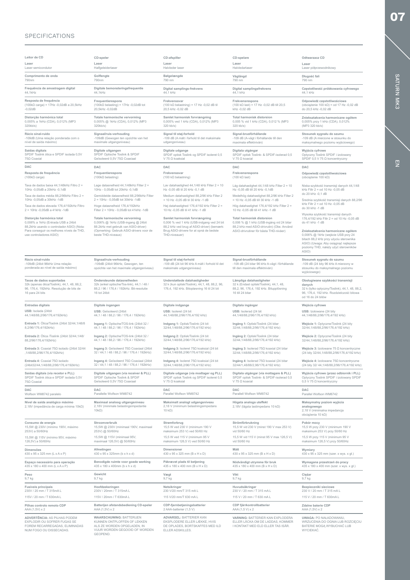# SPECIFICATIONS

| Leitor de CD                                                                                                                           | CD-speler                                                                                                                                  | CD-afspiller                                                                                                                   | CD-spelare                                                                                                                                                                                                                                           | Odtwarzacz CD                                                                                                                                                                                               |
|----------------------------------------------------------------------------------------------------------------------------------------|--------------------------------------------------------------------------------------------------------------------------------------------|--------------------------------------------------------------------------------------------------------------------------------|------------------------------------------------------------------------------------------------------------------------------------------------------------------------------------------------------------------------------------------------------|-------------------------------------------------------------------------------------------------------------------------------------------------------------------------------------------------------------|
| Laser                                                                                                                                  | Laser                                                                                                                                      | Laser                                                                                                                          | Laser                                                                                                                                                                                                                                                | Laser                                                                                                                                                                                                       |
| Laser semicondutor                                                                                                                     | Halfgeleiderlaser                                                                                                                          | Halvleder laser                                                                                                                | Halvledarlaser                                                                                                                                                                                                                                       | Laser półprzewodnikowy                                                                                                                                                                                      |
| Comprimento de onda                                                                                                                    | Golflengte                                                                                                                                 | Bølgelængde                                                                                                                    | Våglängd                                                                                                                                                                                                                                             | Długość fali                                                                                                                                                                                                |
| 790nm                                                                                                                                  | 790nm                                                                                                                                      | 790 nm                                                                                                                         | 790 nm                                                                                                                                                                                                                                               | 790 nm                                                                                                                                                                                                      |
| Frequência de amostragem digital                                                                                                       | Digitale bemonsteringsfrequentie                                                                                                           | Digital samplings-frekvens                                                                                                     | Digital samplingsfrekvens                                                                                                                                                                                                                            | Częstotliwość próbkowania cyfrowego                                                                                                                                                                         |
| 44,1kHz                                                                                                                                | 44,1kHz                                                                                                                                    | 44,1 kHz                                                                                                                       | 44,1 kHz                                                                                                                                                                                                                                             | 44,1 kHz                                                                                                                                                                                                    |
| Resposta de frequência                                                                                                                 | Frequentierespons                                                                                                                          | Frekvenssvar                                                                                                                   | Frekvensrespons                                                                                                                                                                                                                                      | Odpowiedź częstotliwościowa                                                                                                                                                                                 |
| $(100k\Omega \text{ carga}) = 17Hz -0,02dB$ a 20,5kHz                                                                                  | $(100k\Omega$ belasting) = 17Hz -0,02dB tot                                                                                                | $(100 \text{ k}\Omega \text{ belasting}) = 17 \text{ Hz} -0.02 \text{ dB til}$                                                 | $(100 \text{ k}\Omega \text{ last}) = 17 \text{ Hz} -0.02 \text{ dB}$ till 20.5                                                                                                                                                                      | (obciążenie 100 k $\Omega$ ) = od 17 Hz -0,02 dB                                                                                                                                                            |
| $-0,02dB$                                                                                                                              | 20,5kHz -0,02dB                                                                                                                            | 20,5 kHz -0,02 dB                                                                                                              | kHz -0,02 dB                                                                                                                                                                                                                                         | do 20,5 kHz -0,02 dB                                                                                                                                                                                        |
| Distorção harmónica total                                                                                                              | Totale harmonische vervorming                                                                                                              | Samlet harmonisk forvrængning                                                                                                  | Total harmonisk distorsion                                                                                                                                                                                                                           | Zniekształcenia harmoniczne ogółem                                                                                                                                                                          |
| 0,005% a 1kHz (CDA), 0,012% (MP3                                                                                                       | 0,005% @ 1kHz (CDA), 0,012% (MP3                                                                                                           | 0,005% ved 1 kHz (CDA), 0,012% (MP3                                                                                            | 0,005 % vid 1 kHz (CDA), 0,012 % (MP3                                                                                                                                                                                                                | 0,005% przy 1 kHz (CDA), 0,012%                                                                                                                                                                             |
| 320kb/s)                                                                                                                               | 320kb/s)                                                                                                                                   | 320 kb/s)                                                                                                                      | 320 kb/s)                                                                                                                                                                                                                                            | (MP3 320 kb/s)                                                                                                                                                                                              |
| Rácio sinal-ruído                                                                                                                      | Signaal/ruis-verhouding                                                                                                                    | Signal til støj-forhold                                                                                                        | Signal-brusförhållande                                                                                                                                                                                                                               | Stosunek sygnału do szumu                                                                                                                                                                                   |
| -109dB (Uma relação ponderada com o                                                                                                    | -109dB (Gewogen ten opzichte van het                                                                                                       | -109 dB (A målt i forhold til det maksimale                                                                                    | -109 dB (A-vägt i förhållande till den                                                                                                                                                                                                               | -109 dB (A mierzone w stosunku do                                                                                                                                                                           |
| nível de saída máximo)                                                                                                                 | maximale uitgangsniveau)                                                                                                                   | udgangsniveau)                                                                                                                 | maximala effektnivån)                                                                                                                                                                                                                                | maksymalnego poziomu wyjściowego)                                                                                                                                                                           |
| Saídas digitais                                                                                                                        | Digitale uitgangen                                                                                                                         | Digitale udgange                                                                                                               | Digitala utgångar                                                                                                                                                                                                                                    | Wyjścia cyfrowe                                                                                                                                                                                             |
| SPDIF Toslink ótica e SPDIF isolada 0,5V                                                                                               | SPDIF Optische Toslink & SPDIF                                                                                                             | SPDIF optisk Toslink og SPDIF isoleret 0,5                                                                                     | SPDIF optisk Toslink- & SPDIF-isolerad 0,5                                                                                                                                                                                                           | Optyczny Toslink SPDIF i izolowany                                                                                                                                                                          |
| 75Ω Coaxial                                                                                                                            | Geïsoleerd 0,5V 75Ω Coaxiaal                                                                                                               | V 75 Ω koaksial                                                                                                                | V 75 Ω koaxial                                                                                                                                                                                                                                       | SPDIF 0,5 V 75 Ω koncentryczny                                                                                                                                                                              |
| <b>DAC</b>                                                                                                                             | <b>DAC</b>                                                                                                                                 | DAC                                                                                                                            | DAC                                                                                                                                                                                                                                                  | <b>DAC</b>                                                                                                                                                                                                  |
| Resposta de frequência                                                                                                                 | Frequentierespons                                                                                                                          | Frekvenssvar                                                                                                                   | Frekvensrespons                                                                                                                                                                                                                                      | Odpowiedź częstotliwościowa                                                                                                                                                                                 |
| $(100k\Omega \text{ carga})$                                                                                                           | $(100k\Omega$ belasting)                                                                                                                   | $(100 \text{ k}\Omega \text{ belasting})$                                                                                      | $(100 \text{ k}\Omega \text{ last})$                                                                                                                                                                                                                 | (obciążenie 100 kΩ)                                                                                                                                                                                         |
| Taxa de dados baixa 44,1/48kHz Filtro 2 =<br>10Hz -0,05dB a 20kHz -0,1dB<br>Taxa de dados média 88,2/96kHz Filtro 2 =                  | Lage datasnelheid 44,1/48kHz Filter 2 =<br>10Hz - 0,05dB tot 20kHz -0,1dB<br>Gemiddelde datasnelheid 88,2/96kHz Filter                     | Lav datahastighed $44,1/48$ kHz Filter $2 = 10$<br>Hz -0,05 dB til 20 kHz -0,1 dB<br>Medium datahastighed 88,2/96 kHz Filter 2 | Låg datahastighet 44,1/48 kHz Filter 2 = 10<br>Hz -0,05 dB till 20 kHz -0,1dB<br>Medelhög datahastighet 88,2/96 kHz Filter 2<br>= 10 Hz -0,05 dB till 30 kHz -1 dB<br>Hög datahastighet 176,4/192 kHz Filter 2 =<br>10 Hz -0.05 dB till 41 kHz -1 dB | Niska szybkość transmisji danych 44,1/48<br>kHz Filtr 2 = od 10 Hz -0,05 dB<br>do 20 kHz -0.1 dB                                                                                                            |
| 10Hz -0.05dB a 30kHz -1dB<br>Taxa de dados elevada 176,4/192kHz Filtro<br>$2 = 10$ Hz -0.05dB a 41kHz -1dB                             | $2 = 10$ Hz - 0,05dB tot 30kHz -1dB<br>Hoge datasnelheid 176,4/192kHz<br>Filter 2 = 10Hz - 0,05dB tot 41kHz -1dB                           | = 10 Hz -0,05 dB til 30 kHz -1 dB<br>Høj datahastighed 176,4/192 kHz Filter 2 =<br>10 Hz -0,05 dB til 41 kHz -1 dB             |                                                                                                                                                                                                                                                      | Šrednia szybkość transmisji danych 88,2/96<br>kHz Filtr 2 = od 10 Hz -0,05 dB<br>do 30 kHz -1 dB                                                                                                            |
| Distorção harmónica total<br>0,006% a 1kHz (Entrada USB a 24bit<br>88,2kHz usando o controlador ASIO) (Nota:                           | Totale harmonische vervorming<br>0,006% @ 1kHz (USB-ingang @ 24bit<br>88.2kHz met gebruik van ASIO-driver)                                 | Samlet harmonisk forvrængning<br>0,006 % ved 1 kHz (USB-indgang ved 24 bit<br>88,2 kHz ved brug af ASIO-driver) (bemærk:       | Total harmonisk distorsion<br>0,006 % @ 1 kHz (USB-ingång vid 24 bitar<br>88,2 kHz med ASIO-drivrutin) (Obs: Använd<br>ASIO-drivrutiner för bästa THD-nivåer)                                                                                        | Wysoka szybkość transmisji danych<br>176,4/192 kHz Filtr 2 = od 10 Hz -0,05 dB<br>do 41 kHz -1 dB                                                                                                           |
| Para conseguir os melhores níveis de THD,<br>use controladores ASIO)                                                                   | (Opmerking: Gebruik ASIO-drivers voor de<br>beste THD-niveaus)                                                                             | Brug ASIO-drivere for at opnå de bedste<br>THD-niveauer)                                                                       |                                                                                                                                                                                                                                                      | Zniekształcenia harmoniczne ogółem<br>0,006% @ 1kHz (wejście USB przy 24<br>bitach 88,2 kHz przy użyciu sterownika<br>ASIO) (Uwaga: Aby osiągnąć najlepsze<br>poziomy THD, należy użyć sterowników<br>ASIO) |
| Rácio sinal-ruído<br>-109dB (24bit 96kHz Uma relação<br>ponderada ao nível de saída máximo)                                            | Signaal/ruis-verhouding<br>-109dB (24bit 96kHz, Gewogen, ten<br>opzichte van het maximale uitgangsniveau)                                  | Signal til støj-forhold<br>-109 dB (24 bit 96 kHz A målt i forhold til det<br>maksimale udgangsniveau)                         | Signal-brusförhållande<br>-109 dB (24 bitar 96 kHz A-vägt i förhållande<br>till den maximala effektnivån)                                                                                                                                            | Stosunek sygnału do szumu<br>-109 dB (24 bity 96 kHz A mierzony w<br>stosunku do maksymalnego poziomu<br>wyjściowego)                                                                                       |
| Taxas de dados suportadas<br>32k (apenas ótica/Toslink), 44,1, 48, 88,2,<br>96, 176,4, 192kHz. Resolução de bits de<br>16 para 24 bits | Ondersteunde datasnelheden<br>32k (enkel optische/Tos-link), 44,1 / 48 /<br>88,2 / 96 / 176,4 / 192kHz. Bit-resolutie<br>16 tot 24bit      | Understøttede datahastigheder<br>32 k (kun optisk/Toslink), 44,1, 48, 88,2, 96,<br>176,4, 192 kHz. Bitopløsning 16 til 24 bit  | Lämpliga datahastigheter<br>32 k (Endast optisk/Toslink), 44,1, 48,<br>88,2, 96, 176,4, 192 kHz. Bitupplösning<br>16 till 24 bitar                                                                                                                   | Obsługiwane szybkości transmisji<br>danych<br>32 k (tylko optyczny/Toslink), 44,1, 48, 88,2,<br>96, 176,4, 192 kHz. Rozdzielczość bitowa<br>od 16 do 24 bitów                                               |
| Entradas digitais                                                                                                                      | Digitale ingangen                                                                                                                          | Digitale indgange                                                                                                              | Digitala ingångar                                                                                                                                                                                                                                    | Wejścia cyfrowe                                                                                                                                                                                             |
| USB: Isolada (24bit                                                                                                                    | USB: Geïsoleerd (24bit                                                                                                                     | USB: Isoleret (24 bit                                                                                                          | USB: Isolerad (24 bit                                                                                                                                                                                                                                | USB: Izolowane (24 bity                                                                                                                                                                                     |
| 44, 1/48/88, 2/96/176, 4/192kHz)                                                                                                       | 44,1 / 48 / 88,2 / 96 / 176,4 / 192kHz)                                                                                                    | 44,1/48/88,2/96/176,4/192 kHz)                                                                                                 | 44,1/48/88,2/96/176,4/192 kHz)                                                                                                                                                                                                                       | 44,1/48/88,2/96/176,4/192 kHz)                                                                                                                                                                              |
| Entrada 1: Ótica/Toslink (24bit 32/44,1/48/8                                                                                           | Ingang 1: Optische/TOS-link (24bit 32 /                                                                                                    | Indgang 1: Optisk/Toslink (24 bit                                                                                              | Ingång 1: Optisk/Toslink (24 bitar                                                                                                                                                                                                                   | Wejście 1: Optyczne/Toslink (24 bity                                                                                                                                                                        |
| 8,2/96/176,4/192kHz)                                                                                                                   | 44,1 / 48 / 88,2 / 96 / 176,4 / 192kHz)                                                                                                    | 32/44, 1/48/88, 2/96/176, 4/192 kHz)                                                                                           | 32/44,1/48/88,2/96/176,4/192 kHz)                                                                                                                                                                                                                    | 32/44,1/48/88,2/96/176,4/192 kHz)                                                                                                                                                                           |
| Entrada 2: Ótica /Toslink (24bit 32/44,1/48/                                                                                           | Ingang 2: Optische/TOS-link (24bit 32 /                                                                                                    | Indgang 2: Optisk/Toslink (24 bit                                                                                              | Ingång 2: Optisk/Toslink (24 bitar                                                                                                                                                                                                                   | Wejście 2: Optyczne/Toslink (24 bity                                                                                                                                                                        |
| 88,2/96/176,4/192kHz)                                                                                                                  | 44,1 / 48 / 88,2 / 96 / 176,4 / 192kHz)                                                                                                    | 32/44, 1/48/88, 2/96/176, 4/192 kHz)                                                                                           | 32/44,1/48/88,2/96/176,4/192 kHz)                                                                                                                                                                                                                    | 32/44, 1/48/88, 2/96/176, 4/192 kHz)                                                                                                                                                                        |
| Entrada 3: Coaxial 75Ω isolado (24bit 32/44                                                                                            | Ingang 3: Geïsoleerd 75Ω Coaxiaal (24bit                                                                                                   | Indgang 3: Isoleret 75Ω koaksial (24 bit                                                                                       | Ingång 3: Isolerad 75Ω koaxial (24 bitar                                                                                                                                                                                                             | Wejście 3: Izolowane 75 Ω koncentryczne                                                                                                                                                                     |
| ,1/48/88,2/96/176,4/192kHz)                                                                                                            | 32 / 44,1 / 48 / 88,2 / 96 / 176,4 / 192kHz)                                                                                               | 32/44.1/48/88.2/96/176.4/192 kHz)                                                                                              | 32/44,1/48/88,2/96/176,4/192 kHz)                                                                                                                                                                                                                    | (24 bity 32/44, 1/48/88, 2/96/176, 4/192 kHz)                                                                                                                                                               |
| Entrada 4: Coaxial 75Ω isolado                                                                                                         | Ingang 4: Geïsoleerd 75Ω Coaxiaal (24bit                                                                                                   | Indgang 4: Isoleret 75Ω koaksial (24 bit                                                                                       | Ingång 4: Isolerad 75Ω koaxial (24 bitar                                                                                                                                                                                                             | Wejście 4: Izolowane 75Ω koncentryczne                                                                                                                                                                      |
| (24bit32/44,1/48/88,2/96/176,4/192kHz)                                                                                                 | 32 / 44,1 / 48 / 88,2 / 96 / 176,4 / 192kHz)                                                                                               | 32/44, 1/48/88, 2/96/176, 4/192 kHz)                                                                                           | 32/44/1,48/88/2,96/176,4/192 kHz)                                                                                                                                                                                                                    | (24 bity 32/ 44, 1/48/88, 2/96/176, 4/192 kHz)                                                                                                                                                              |
| Saídas digitais (via recetor e PLL)                                                                                                    | Digitale uitgangen (via receiver & PLL)                                                                                                    | Digitale udgange (via modtager og PLL)                                                                                         | Digitala utgångar (via mottagare & PLL)                                                                                                                                                                                                              | Wyjścia cyfrowe (przez odbiornik i PLL)                                                                                                                                                                     |
| SPDIF Toslink ótica e SPDIF isolada 0,5V                                                                                               | SPDIF Optische Toslink & SPDIF                                                                                                             | SPDIF optisk Toslink og SPDIF isoleret 0,5                                                                                     | SPDIF optisk Toslink- & SPDIF-isolerad 0,5                                                                                                                                                                                                           | Optyczny Toslink SPDIF i izolowany SPDIF                                                                                                                                                                    |
| 75Ω Coaxial                                                                                                                            | Geïsoleerd 0,5V 75Ω Coaxiaal                                                                                                               | V 75 Ω koaksial                                                                                                                | V 75 Ω koaxial                                                                                                                                                                                                                                       | $0,5$ V 75 $\Omega$ koncentryczny                                                                                                                                                                           |
| <b>DAC</b>                                                                                                                             | DAC                                                                                                                                        | DAC                                                                                                                            | DAC                                                                                                                                                                                                                                                  | DAC                                                                                                                                                                                                         |
| Wolfson WM8742 paralelo                                                                                                                | Parallelle Wolfson WM8742                                                                                                                  | Parallel Wolfson WM8742                                                                                                        | Parallell Wolfson WM8742                                                                                                                                                                                                                             | Parallel Wolfson WM8742                                                                                                                                                                                     |
| Nível de saída analógico máximo<br>2,18V (impedância de carga mínima 10kΩ)                                                             | Maximaal analoog uitgangsniveau<br>2,18V (minimale belastingsimpedantie<br>$10k\Omega$ )                                                   | Maksimalt analogt udgangsniveau<br>2,18 V (minimum belastningsimpedans<br>10 $k\Omega$ )                                       | Högsta analoga uteffekt<br>2,18V (lägsta lastimpedans 10 kΩ)                                                                                                                                                                                         | Maksymalny poziom wyjścia<br>analogowego<br>2,18 V (minimalna impedancja<br>obciążenia 10 kΩ)                                                                                                               |
| Consumo de energia                                                                                                                     | Stroomverbruik                                                                                                                             | Strømforbrug                                                                                                                   | Strömförbrukning                                                                                                                                                                                                                                     | Pobór mocy                                                                                                                                                                                                  |
| 15,5W @ 230V (mínimo 190V, máximo                                                                                                      | 15,5W @ 230V (minimaal 190V, maximaal                                                                                                      | 15,5 W ved 230 V (minimum 190 V                                                                                                | 15,5 W vid 230 V (minst 190 V max 253 V)                                                                                                                                                                                                             | 15,5 W przy 230 V (minimum 190 V                                                                                                                                                                            |
| 253V) a 50/60Hz                                                                                                                        | 253V) @ 50/60Hz                                                                                                                            | maksimum 253 V) ved 50/60 Hz                                                                                                   | vid 50/60 Hz                                                                                                                                                                                                                                         | maksimum 253 V) przy 50/60 Hz                                                                                                                                                                               |
| 15,5W @ 115V (mínimo 95V, máximo                                                                                                       | 15,5W @ 115V (minimaal 95V,                                                                                                                | 15,5 W ved 115 V (minimum 95 V                                                                                                 | 15,5 W vid 115 V (minst 95 V max 126,5 V)                                                                                                                                                                                                            | 15,5 W przy 115 V (minimum 95 V                                                                                                                                                                             |
| 126,5V) a 50/60Hz                                                                                                                      | maximaal 126,5V) @ 50/60Hz                                                                                                                 | maksimum 126,5 V) ved 50/60 Hz                                                                                                 | vid 50/60 Hz                                                                                                                                                                                                                                         | maksimum 126,5 V) przy 50/60Hz                                                                                                                                                                              |
| Dimensões                                                                                                                              | Afmetingen                                                                                                                                 | Dimensioner                                                                                                                    | Mått                                                                                                                                                                                                                                                 | Wymiary                                                                                                                                                                                                     |
| 430 x 95 x 325 mm (L x A x P)                                                                                                          | 430 x 95 x 325mm (b x h x d)                                                                                                               | 430 x 95 x 325 mm (B x H x D)                                                                                                  | 430 x 95 x 325 mm (B x H x D)                                                                                                                                                                                                                        | 430 x 95 x 325 mm (szer. x wys. x gł.)                                                                                                                                                                      |
| Espaço necessário para operação                                                                                                        | Benodigde ruimte voor goede werking                                                                                                        | Påkrævet plads til betjening                                                                                                   | Nödvändigt utrymme för bruk                                                                                                                                                                                                                          | Wymagana przestrzeń do pracy                                                                                                                                                                                |
| 435 x 180 x 400 mm (L x A x P)                                                                                                         | 435 x 180 x 400mm (b x h x d)                                                                                                              | 435 x 180 x 400 mm (B x H x D)                                                                                                 | 435 x 180 x 400 mm (B x H x D)                                                                                                                                                                                                                       | 435 x 180 x 400 mm (szer. x wys. x gł.)                                                                                                                                                                     |
| Peso                                                                                                                                   | Gewicht                                                                                                                                    | Vægt                                                                                                                           | Vikt                                                                                                                                                                                                                                                 | Ciężar                                                                                                                                                                                                      |
| 9,7 kg                                                                                                                                 | 9,7 kg                                                                                                                                     | 9,7 kg                                                                                                                         | 9,7 kg                                                                                                                                                                                                                                               | 9,7 kg                                                                                                                                                                                                      |
| Fusíveis principais                                                                                                                    | Hoofdzekeringen                                                                                                                            | Netsikringer                                                                                                                   | Huvudsäkringar                                                                                                                                                                                                                                       | Bezpieczniki sieciowe                                                                                                                                                                                       |
| 230V / 20 mm / T 315mA L                                                                                                               | 230V / 20mm / T 315mA L                                                                                                                    | 230 V/20 mm/T 315 mA L                                                                                                         | 230 V / 20 mm / T 315 mA L                                                                                                                                                                                                                           | 230 V / 20 mm / T 315 mA L                                                                                                                                                                                  |
| 115V / 20 mm / T 630mA L                                                                                                               | 115V / 20mm / T 630mA L                                                                                                                    | 115 V/20 mm/T 630 mA L                                                                                                         | 115 V / 20 mm / T 630 mA L                                                                                                                                                                                                                           | 115 V / 20 mm / T 630mA L                                                                                                                                                                                   |
| Pilhas controlo remoto CDP                                                                                                             | Batterijen afstandsbediening CD-speler                                                                                                     | CDP-fjernbetjeningsbatterier                                                                                                   | CDP fjärrkontrollbatterier                                                                                                                                                                                                                           | Zdalne baterie CDP                                                                                                                                                                                          |
| AAA (1,5V) x 2                                                                                                                         | AAA (1,5V) x 2                                                                                                                             | 2 AAA-batterier (1,5 V)                                                                                                        | AAA (1,5 V) x 2                                                                                                                                                                                                                                      | AAA (1,5V) x 2                                                                                                                                                                                              |
| ADVERTÊNCIA: AS PILHAS PODEM<br>EXPLODIR OU SOFRER FUGAS SE<br>FOREM RECARREGADAS, ELIMINADAS<br>NUM FOGO OU DISSECADAS.               | <b>WAARSCHUWING: BATTERIJEN</b><br>KUNNEN ONTPLOFFEN OF LEKKEN<br>ALS ZE WORDEN OPGELADEN, IN<br>VUUR WORDEN GEGOOID OF WORDEN<br>GEOPEND. | <b>ADVARSEL: BATTERIER KAN</b><br>EKSPLODERE ELLER LÆKKE, HVIS<br>DE OPLADES, BORTSKAFFES MED ILD<br><b>ELLER ADSKILLES</b>    | VARNING: BATTERIER KAN EXPLODERA<br>ELLER LÄCKA OM DE LADDAS, KOMMER<br>I KONTAKT MED ELD ELLER TAS ISÄR.                                                                                                                                            | <b>UWAGA: PO NAŁADOWANIU,</b><br>WRZUCENIA DO OGNIA LUB ROZCIĘCIU<br>BATERIE MOGĄ WYBUCHAĆ LUB<br>WYCIEKAĆ.                                                                                                 |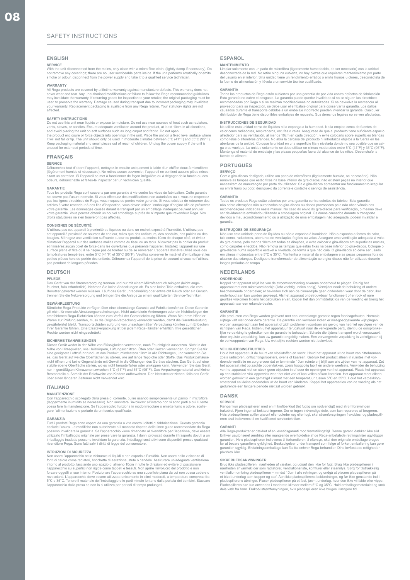## SAFETY INSTRUCTIONS

## **ENGLISH**

#### **SERVICE**

With the unit disconnected from the mains, only clean with a micro fibre cloth, (lightly damp if necessary). Do<br>not remove any coverings; there are no user serviceable parts inside. If the unit performs erratically or emit

WARRANTY<br>All Rega products are covered by a lifetime warranty against manufacture defects. This warranty does not<br>cover wear and tear. Any unauthorised modifications or failure to follow the Rega recommended guidelines<br>may

## **SAFETY INSTRUCTIONS**

Do not use this unit near liquids or expose to moisture. Do not use near sources of heat such as radiators,<br>vents. stoves, or candles. Ensure adequate ventilation around the product, at least 10cm in all directions.

vents, stoves, or candles. Ensure adequate ventilation around the product, at least 10cm in all directions,<br>and avoid placing the unit on soft surfaces such as long carpet and fabric. Do not open<br>the product enclosure or f

#### **FRANÇAIS**

## **SERVICE**

Débranchez tout d'abord l'appareil, nettoyez-le ensuite uniquement à l'aide d'un chiffon doux à microfibres<br>(légèrement humide si nécessaire). Ne retirez aucun couvercle ; l'appareil ne contient aucune pièce néces-<br>sitant

GARANTIE<br>Tous les produits Rega sont couverts par une garantie à vie contre les vices de fabrication. Cette garantie Tous les produits Rega sont couverts par une garantie à vie contre les vices de fabrication. Cette garantie<br>en couvre pas l'usure normale. Si vous effectuez des modifications non autorisées ou si vous ne respectez<br>pas les droits statutaires ne s'en trouveront pas affectés.

CONSIGNES DE SECURITE<br>Ocupanda provincia de provinció de líquides ou dans un endroit exposé à l'humidité. N'utilisez pas<br>cet appareil à proximité de sources de chaleur, telles que des radiateurs, des conduits, des poêles o surface plane et fixe où il ne risque pas de tomber ou de se renverser. L'appareil doit être utilisé sous des<br>températures tempérées, entre 5°C (41°F) et 35°C (95°F). Veuillez conserver le matériel d'emballage et les<br>petit pentes pieces riors de portee des<br>pas pendant de longues périodes

## **DEUTSCH**

### **PFLEGE**

Das Gerät von der Stromversorgung trennen und nur mit einem Mikrofasertuch reinigen (leicht angefeuchtet, falls erforderlich). Nehmen Sie keine Abdeckungen ab. Es sind keine Teile enthalten, die vom<br>Benutzer gewartet werden müssen. Läuft das Gerät unregelmäßig oder entweicht Rauch oder ein Geruch,<br>trennen Sie die Net

GEWAHRLEISTUNG<br>Samtliche Rega-Produkte verfügen über eine lebenslange Garantie auf Fabrikationsfehler. Diese Garantie<br>gilt nicht für normale Abhutzungserscheinungen. Nicht autorisierte Änderungen oder ein Nichtbefolgen der

SICHERHEITSANWEISSUNGEN<br>Dieses Gerät weder in der Nähe von Flüssigkeiten verwenden, noch Feuchtigkeit aussetzen. Nicht in der<br>Dieses Gerät weder in der Nähe von Flüssigkeiten verwenden, noch Feuchtigkeit aussetzen. Nicht i über einen längeren Zeitraum nicht verwendet wird.

### **ITALIANO**

MANUTENZIONE<br>Con l'apparecchio scollegato dalla presa di corrente, pulire usando semplicemente un panno in microfibra<br>(leggermente inumidito se necessario). Non smontare l'involucro: all'interno non vi sono parti a cui l'u

GARANZIA<br>Tutti i prodotti Rega sono coperti da una garanzia a vita contro i difetti di fabbricazione. Questa garanzia<br>esciude l'usura. Le modifiche non autorizzate o il mancato rispetto delle linee guida raccomandate da Re rivenditore Rega. Sono fatti salvi i diritti di legge del consumatore.

**ISTRUZIONI DI SICUREZZA**<br>Non usare l'apparecchio nelle vicinanze di liquidi e non esporlo all'umidità. Non usare nelle vicinanze di<br>fonti di calore come radiatori, bocchette di aerazione, stufe o candele. Assicurare un'ad l'apparecchio su superfici non rigide come tappeti e tessuti. Non aprire l'involucro del prodotto e non<br>forzare oggetti al suo interno. Posizionare l'apparecchio su una superficie piana da cui non possa cadere o<br>rovesciars

# **ESPAÑOL**

## **MANTENIMIENTO**

Limpiar solamente con un paño de microfibra (ligeramente humedecido, de ser necesario) con la unidad<br>desconectada de la red. No retire ninguna cubierta, no hay piezas que requieran mantenimiento por parte<br>del usuario en el

**GARANTÍA**<br>Todos los productos de Rega están cubiertos por una garantía de por vida contra defectos de fabricación Todos los productos de Rega están cubiertos por una garantía de por vida contra defectos de fabricación.<br>Esta garantía no cubre el desgaste. La garantía puede quedar invalidada si no se siguen las directrices<br>recomendadas

INSTRUCCIONES DE SEGURIDAD<br>No utilice esta unidad cerca de líquidos ni la exponga a la humedad. No la emplee cerca de fuentes de<br>calor como radiadores, respiraderos, estufas o velas. Asegúrese de que el producto tiene sufi Mantenga el material de embalaje y las piezas pequeñas fuera del alcance de los niños. Desenchufe la fuente de aliment.

#### **PORTUGUÊS**

#### **SERVIÇO**

Com o gira-discos desligado, utilize um pano de microfibras (ligeiramente húmido, se necessário). Não<br>remova as tampas que estão fixas na base inferior do gira-discos; não existem peças no interior que<br>necessitem de manute ou emitir fumo ou odor, desligue-o da corrente e contacte o serviço de assistência.

GARANTIA<br>Todos os produtos Rega estão cobertos por uma garantia contra defeitos de fabrico. Esta garantia<br>Todos os produtos Rega estão cobertos por uma garantia contra defeitos de fabrico. Esta garantia<br>não cobre alteraçõe garantia.

INSTRUÇOES DE SEGURANÇA<br>Não use esta unidade perto de líquidos ou não a exponha à humidade. Não o exponha a fontes de calor,<br>tais como, radiadores, aberturas de ventilação, fogões ou velas. Assegure uma ventilação adequada gira-discos numa superfície estável e nivelada, de forma a que não caia. O gira-discos só deve ser usado<br>em climas moderados entre 5°C e 35°C. Mantenha o material da embalagem e as peças pequenas fora do<br>alcance das crianç longos períodos de tempo.

## **NEDERLANDS**

#### **ONDERHOUD**

Koppel het apparaat altijd los van de stroomvoorziening alvorens onderhoud te plegen. Reinig het apparaat met een microvezeldoekje (licht vochtig, indien nodig). Verwijder nooit de behuizing of andere beschemende onderdelen; er bevinden zich aan de binnenzjide geen onderdelen waar door de gebruiker<br>onderhoud aan kan w

#### **GARANTIE**

Alle producten van Rega worden geleverd met een levenslange garantie tegen fabricagefouten. Normale slijtage valt niet onder deze garantie. De garantie kan vervallen indien er niet-goedgekeurde wijzigingen<br>worden aangebracht aan het apparaat of zich problemen voordoen als gevolg van het niet opvolgen van de<br>richtlijnen v

VELIGHEIDSINSTRUCTIES<br>Houd het apparaat uit de buurt van vloeistoffen en vocht. Houd het apparaat uit de buurt van hittebronnen<br>zoals radiatoren, ontluchtingsroosters, ovens of kaarsen. Gebruik het product alleen in ruimte smateriaal en kleine onderdelen uit de buurt van kinderen. Koppel het apparaat los van de voeding als het gedurende een langere periode niet zal worden gebruikt.

# **DANSK**

SERVICE<br>Rengør kun pladespilleren med en mikrofiberklud (let fugtig om nødvendigt) med strømforsyningen<br>frakoblet. Fjern ingen af beklædningerne. Der er ingen indvendige dele, som kan repareres af brugeren.<br>Hvis pladespill

GARANTI<br>Alle Rega-produkter er dækket af en levetidsgaranti mod fremstillingsfejl. Denne garanti dækker ikke slid.<br>Alle Rega-produkter er dækket af en levetidsgaranti mod fremstillingsfejl. Denne garanti dækker ikke slid.<br> garammon us<br>nåvirkes ikk

SIKKERHEDSANVISNINGER<br>Er der konstantionen in anerheden af væsker, og udsæt den ikke for fugt. Brug ikke pladespilleren i<br>nærheden af varmekilder som radiatorer, ventilationsriste, komfurer eller stearinlys. Sørg for tilst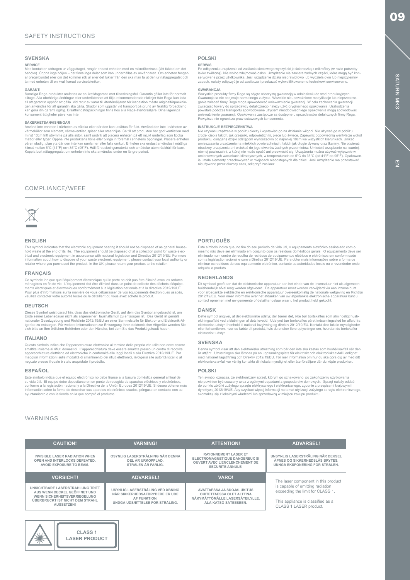## **SVENSKA**

SERVICE<br>Med kontakten utdragen ur vägguttaget, rengör endast enheten med en mikrofibertrasa (lätt fuktad om det<br>behövs). Öppna inga höljen – det finns inga delar som kan underhållas av användaren. Om enheten funger-<br>ar ore

**GARANTI**<br>Samtliga Rega-produkter omfattas av en livstidsgaranti mot tillverkningsfel. Garantin gäller inte för normalt Samtliga Rega-produkter omfattas av en livstidsgaranti mot tillverkningsfel. Garantin gäller inte för normalt<br>slitage. Alla obehöriga ändringar eller underlåtenhet att följa rekommenderade riktlinjer från Rega kan leda<br>til

**SÄKERHETSANVISNINGAR**<br>Använd inte enheten i nächeten av väteka eller där den kan utsättas för fukt. Använd den inte i nächeten av Använd inte enheten i närheten av vätska eller där den kan utsättas för fukt. Använd den inte i närheten av värmekällor som element, värmeventiler, spisar eller stearinligus. Se till att produkten har god ventilation med<br>m

## COMPLIANCE/WEEE



## **ENGLISH**

This symbol indicates that the electronic equipment bearing it should not be disposed of as general house-<br>hold waste at the end of its life. The equipment should be disposed of at a collection point for waste elec-<br>trical retailer where you purchased the product. In the UK, please return your product to the retailer.

## **FRANÇAIS**

Ce symbole indique que l'équipement électronique qui le porte ne doit pas être éliminé avec les ordures<br>ménagères en fin de vie. L'équipement doit être éliminé dans un point de collecte des déchets d'équipe-<br>ments électriq

## **DEUTSCH**

Dieses Symbol weist darauf hin, dass das elektronische Gerät, auf dem das Symbol angebracht ist, am Ende seiner Lebensdauer nicht als allgemeiner Haushaltsmüll zu entsorgen ist. Das Gerät ist gemäß<br>nationaler Gesetzgebung und Richtlinie 2012/19/EU an einer Sammelstelle für Elektro- und Elektronik-Al-<br>tgeräte zu entsorgen

## **ITALIANO**

Questo simbolo indica che l'apparecchiatura elettronica al termine della propria vita utile non deve essere smaltita insieme ai rifiuti domestici. L'apparecchiatura deve essere smaltita presso un centro di raccolta<br>apparecchiature elettriche ed elettroniche in conformità alle leggi locali e alla Direttiva 2012/19/UE. Per<br>maggio

## **ESPAÑOL**

Este símbolo indica que el equipo electrónico no debe tirarse a la basura doméstica general al final de su vida útil. El equipo debe depositarse en un punto de recogida de aparatos eléctricos y electrónicos,<br>conforme a la legislación nacional y a la Directiva de la Unión Europea 2012/18/UE. Si desea obtener más<br>información ayuntamiento o con la tienda en la que compró el producto.

## WARNINGS

#### **CAUTION! ADVARSEL! VARO! ATTENTION! ADVARSEL! VARNING! VORSICHT! INVISIBLE LASER RADIATION WHEN OPEN AND INTERLOCKS DEFEATED. AVOID EXPOSURE TO BEAM. UNSYNLIG LASERSTRÄLING NÄR DEKSEL ÄPNES OG SIKKERHEDSLÄS BRYTES. UNNGÄ EKSPONERING FOR STRÄLEN. AVATTAESSA JA SUOJALUKITUS OHITETTAESSA OLET ALTTINA NÄKYMÄTTÖMÄLLE LASERSÄTEILYLLE. ÄLÄ KATSO SÄTEESEEN. RAYONNEMENT LASER ET ELECTROMAGNETIQUE DANGEREUX SI OUVERT AVEC L'ENCLENCHEMENT DE SECURITE ANNULE. USYNLIG LASERSTRÅLING VED ÅBNING NÅR SIKKERHEDSAFBRYDERE ER UDE AF FUNKTION. UNDGÅ UDSÆTTELSE FOR STRÅLING. OSYNLIG LASERSTRÅLNING NÅR DENNA DEL ÅR URKOPPLAD. STRÅLEN ÅR FARLIG. UNSICHTBARE LASERSTRAHLUNG TRITT AUS WENN DECKEL GEÖFFNET UND WENN SICHERHEITSVERRIEGELUNG ÜBERBRUCKT IST NICHT DEM STRAHL AUSSETZEN!** The laser component in this product is capable of emitting radiation exceeding the limit for CLASS 1. This appliance is classified as a CLASS 1 LASER product.

## **POLSKI SERWIS**

Po odłączeniu urządzenia od zasilania sieciowego wyczyścić je ściereczką z mikrofibry (w razie potrzeby<br>lekko zwiłżoną). Nie wolno zdejmować osłon. Urządzenie nie zawiera żadnych części, które mogą być kon-<br>serwowane przez

WMARACJA<br>Wszystkie produkty firmy Rega są objęte wieczystą gwarancją w odniesieniu do wad produkcyjnych,<br>Gwarancja ta nie obejmuje normalnego zużycia. Wszelkie nieupoważnione modyfikacje lub nieprzestrze-<br>ganie zalecen fir Powyższe nie ogranicza praw ustawowych konsumenta.

INSTRUKCJE BEZPIECZENSTWA<br>
Nie używać urządzenia w pobliżu cieczy i wystawiać go na działanie wilgoci. Nie używać go w pobliżu<br>
źródeł ciepła takich, jak grzejniki, odpowietzniki, piece lub świece. Zapewnić odpowiednią wen

## **PORTUGUÊS**

Este símbolo indica que, no fim do seu período de vida útil, o equipamento eletrónico assinalado com o<br>mesmo não deve ser eliminado em conjunto com os residuos domésticos gerais. O equipamento deve ser<br>eliminado num centro eliminar os resíduos do seu equipamento eletrónico, contacte as autoridades locais ou o revendedor onde adquiriu o produto.

#### **NEDERLANDS**

Dit symbool geeft aan dat de elektronische apparatuur aan het einde van de levensduur niet als algemeen<br>huishoudelijk afval mag worden afgevoerd. De apparatuur moet worden verwijderd via een inzamelpunt<br>voor afgedankte ele

## **DANSK**

Dette symbol angiver, at det elektroniske udstyr, der bærer det, ikke bør bortskaffes som almindeligt hush-<br>oldningsaffald ved afslutningen af dets levetid. Udstyret bør bortskaffes på et indsamlingssted for affald fra<br>ele elektronisk udstyr.

## **SVENSKA**

Denna symbol visar att den elektroniska utrustning som bär den inte ska kastas som hushållsavfall när den är uttjänt. Utrustningen ska lämnas på en uppsamlingsplats för elektriskt och elektroniskt avfall i enlighet<br>med nationell lagstiftning och Direktiv: 2012/19/EU. För mer information om hur du ska göra dig av med ditt<br>elek

## **POLSKI**

Ten symbol oznacza, że elektroniczny sprzęt, którym go oznakowano, po zakończeniu użytko nie powinien być usuwany wraz z ogólnymi odpadami z gospodarstw domowych. Sprzęt należy oddać<br>do punktu zbiórki zużytego sprzętu elektrycznego i elektronicznego, zgodnie z przepisami krajowymi i<br>dyrektywą 2012/19/UE. Aby 09



**CLASS 1 LASER PRODUCT**